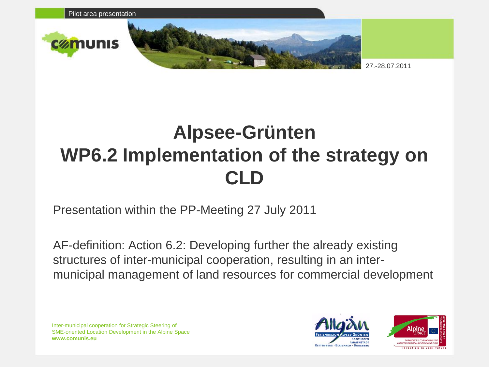

## **Alpsee-Grünten WP6.2 Implementation of the strategy on CLD**

Presentation within the PP-Meeting 27 July 2011

AF-definition: Action 6.2: Developing further the already existing structures of inter-municipal cooperation, resulting in an intermunicipal management of land resources for commercial development

Inter-municipal cooperation for Strategic Steering of SME-oriented Location Development in the Alpine Space **www.comunis.eu**



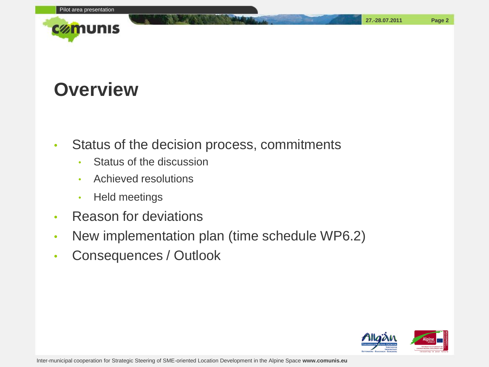

#### **Overview**

- Status of the decision process, commitments
	- Status of the discussion
	- Achieved resolutions
	- Held meetings
- Reason for deviations
- New implementation plan (time schedule WP6.2)
- Consequences / Outlook

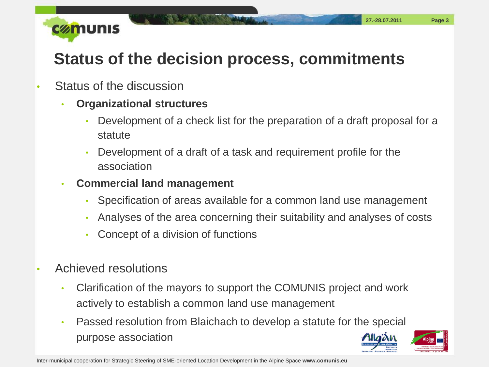

#### **Status of the decision process, commitments**

- Status of the discussion
	- **Organizational structures**
		- Development of a check list for the preparation of a draft proposal for a statute
		- Development of a draft of a task and requirement profile for the association
	- **Commercial land management**
		- Specification of areas available for a common land use management
		- Analyses of the area concerning their suitability and analyses of costs
		- Concept of a division of functions
- Achieved resolutions
	- Clarification of the mayors to support the COMUNIS project and work actively to establish a common land use management
	- Passed resolution from Blaichach to develop a statute for the special purpose association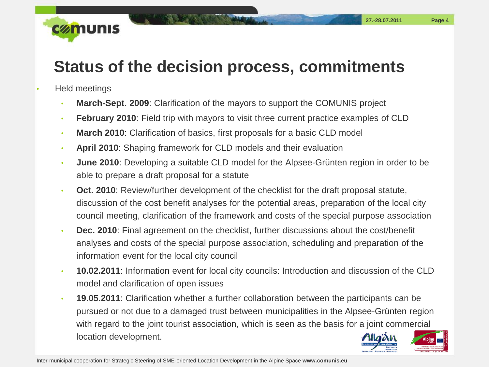

#### **Status of the decision process, commitments**

- Held meetings
	- **March-Sept. 2009**: Clarification of the mayors to support the COMUNIS project
	- **February 2010**: Field trip with mayors to visit three current practice examples of CLD
	- **March 2010**: Clarification of basics, first proposals for a basic CLD model
	- **April 2010**: Shaping framework for CLD models and their evaluation
	- **June 2010**: Developing a suitable CLD model for the Alpsee-Grünten region in order to be able to prepare a draft proposal for a statute
	- **Oct. 2010**: Review/further development of the checklist for the draft proposal statute, discussion of the cost benefit analyses for the potential areas, preparation of the local city council meeting, clarification of the framework and costs of the special purpose association
	- **Dec. 2010**: Final agreement on the checklist, further discussions about the cost/benefit analyses and costs of the special purpose association, scheduling and preparation of the information event for the local city council
	- **10.02.2011**: Information event for local city councils: Introduction and discussion of the CLD model and clarification of open issues
	- **19.05.2011**: Clarification whether a further collaboration between the participants can be pursued or not due to a damaged trust between municipalities in the Alpsee-Grünten region with regard to the joint tourist association, which is seen as the basis for a joint commercial location development.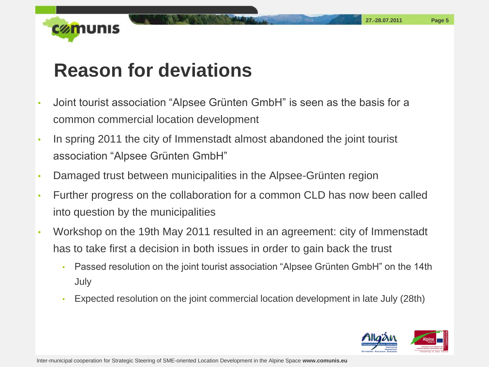

### **Reason for deviations**

- Joint tourist association "Alpsee Grünten GmbH" is seen as the basis for a common commercial location development
- In spring 2011 the city of Immenstadt almost abandoned the joint tourist association "Alpsee Grünten GmbH"
- Damaged trust between municipalities in the Alpsee-Grünten region
- Further progress on the collaboration for a common CLD has now been called into question by the municipalities
- Workshop on the 19th May 2011 resulted in an agreement: city of Immenstadt has to take first a decision in both issues in order to gain back the trust
	- Passed resolution on the joint tourist association "Alpsee Grünten GmbH" on the 14th July
	- Expected resolution on the joint commercial location development in late July (28th)

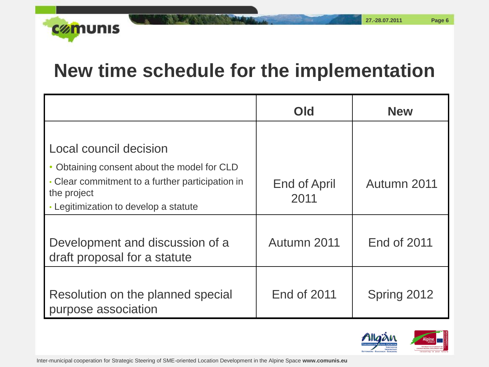

#### **New time schedule for the implementation**

|                                                                 | Old                 | <b>New</b>         |
|-----------------------------------------------------------------|---------------------|--------------------|
|                                                                 |                     |                    |
| Local council decision                                          |                     |                    |
| Obtaining consent about the model for CLD                       |                     |                    |
| • Clear commitment to a further participation in<br>the project | <b>End of April</b> | Autumn 2011        |
| • Legitimization to develop a statute                           | 2011                |                    |
|                                                                 |                     |                    |
| Development and discussion of a                                 | Autumn 2011         | <b>End of 2011</b> |
| draft proposal for a statute                                    |                     |                    |
|                                                                 |                     |                    |
| Resolution on the planned special                               | <b>End of 2011</b>  | Spring 2012        |
| purpose association                                             |                     |                    |

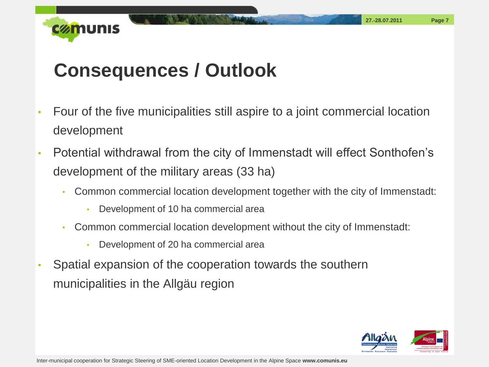

## **Consequences / Outlook**

- Four of the five municipalities still aspire to a joint commercial location development
- Potential withdrawal from the city of Immenstadt will effect Sonthofen's development of the military areas (33 ha)
	- Common commercial location development together with the city of Immenstadt:
		- Development of 10 ha commercial area
	- Common commercial location development without the city of Immenstadt:
		- Development of 20 ha commercial area
- Spatial expansion of the cooperation towards the southern municipalities in the Allgäu region